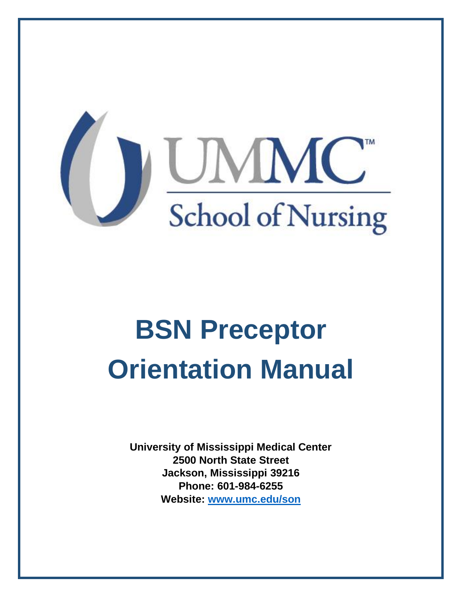

# **BSN Preceptor Orientation Manual**

**University of Mississippi Medical Center 2500 North State Street Jackson, Mississippi 39216 Phone: 601-984-6255 Website: [www.umc.edu/son](http://www.sc.edu/nursing)**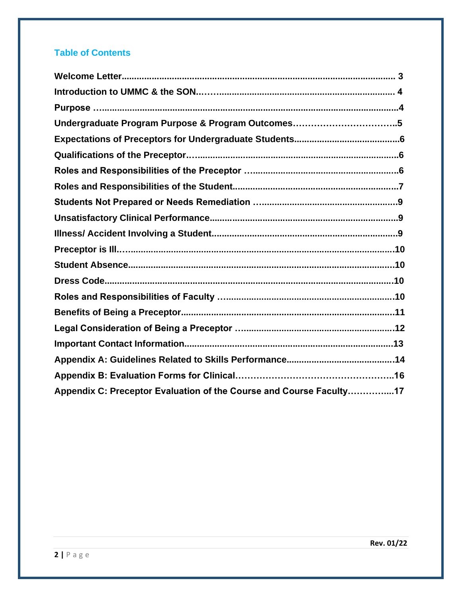#### **Table of Contents**

| Undergraduate Program Purpose & Program Outcomes5                   |
|---------------------------------------------------------------------|
|                                                                     |
|                                                                     |
|                                                                     |
|                                                                     |
|                                                                     |
|                                                                     |
|                                                                     |
|                                                                     |
|                                                                     |
|                                                                     |
|                                                                     |
|                                                                     |
|                                                                     |
|                                                                     |
|                                                                     |
|                                                                     |
| Appendix C: Preceptor Evaluation of the Course and Course Faculty17 |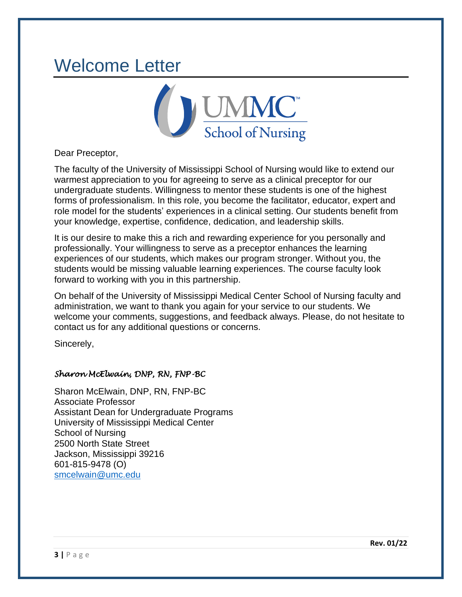### Welcome Letter



Dear Preceptor,

The faculty of the University of Mississippi School of Nursing would like to extend our warmest appreciation to you for agreeing to serve as a clinical preceptor for our undergraduate students. Willingness to mentor these students is one of the highest forms of professionalism. In this role, you become the facilitator, educator, expert and role model for the students' experiences in a clinical setting. Our students benefit from your knowledge, expertise, confidence, dedication, and leadership skills.

It is our desire to make this a rich and rewarding experience for you personally and professionally. Your willingness to serve as a preceptor enhances the learning experiences of our students, which makes our program stronger. Without you, the students would be missing valuable learning experiences. The course faculty look forward to working with you in this partnership.

On behalf of the University of Mississippi Medical Center School of Nursing faculty and administration, we want to thank you again for your service to our students. We welcome your comments, suggestions, and feedback always. Please, do not hesitate to contact us for any additional questions or concerns.

Sincerely,

#### *Sharon McElwain, DNP, RN, FNP-BC*

Sharon McElwain, DNP, RN, FNP-BC Associate Professor Assistant Dean for Undergraduate Programs University of Mississippi Medical Center School of Nursing 2500 North State Street Jackson, Mississippi 39216 601-815-9478 (O) [smcelwain@umc.edu](mailto:smcelwain@umc.edu)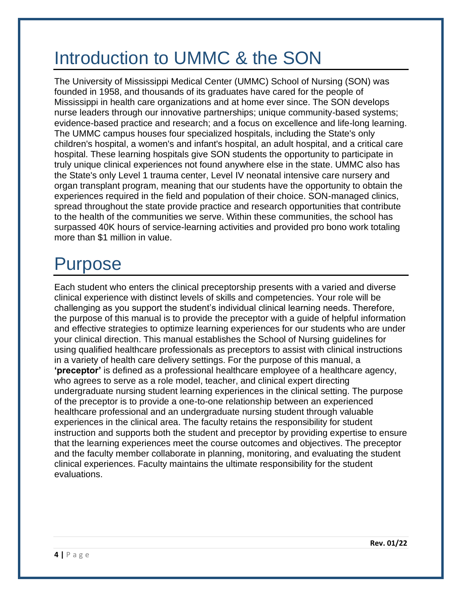### Introduction to UMMC & the SON

The University of Mississippi Medical Center (UMMC) School of Nursing (SON) was founded in 1958, and thousands of its graduates have cared for the people of Mississippi in health care organizations and at home ever since. The SON develops nurse leaders through our innovative partnerships; unique community-based systems; evidence-based practice and research; and a focus on excellence and life-long learning. The UMMC campus houses four specialized hospitals, including the State's only children's hospital, a women's and infant's hospital, an adult hospital, and a critical care hospital. These learning hospitals give SON students the opportunity to participate in truly unique clinical experiences not found anywhere else in the state. UMMC also has the State's only Level 1 trauma center, Level IV neonatal intensive care nursery and organ transplant program, meaning that our students have the opportunity to obtain the experiences required in the field and population of their choice. SON-managed clinics, spread throughout the state provide practice and research opportunities that contribute to the health of the communities we serve. Within these communities, the school has surpassed 40K hours of service-learning activities and provided pro bono work totaling more than \$1 million in value.

### Purpose

Each student who enters the clinical preceptorship presents with a varied and diverse clinical experience with distinct levels of skills and competencies. Your role will be challenging as you support the student's individual clinical learning needs. Therefore, the purpose of this manual is to provide the preceptor with a guide of helpful information and effective strategies to optimize learning experiences for our students who are under your clinical direction. This manual establishes the School of Nursing guidelines for using qualified healthcare professionals as preceptors to assist with clinical instructions in a variety of health care delivery settings. For the purpose of this manual, a **'preceptor'** is defined as a professional healthcare employee of a healthcare agency, who agrees to serve as a role model, teacher, and clinical expert directing undergraduate nursing student learning experiences in the clinical setting. The purpose of the preceptor is to provide a one-to-one relationship between an experienced healthcare professional and an undergraduate nursing student through valuable experiences in the clinical area. The faculty retains the responsibility for student instruction and supports both the student and preceptor by providing expertise to ensure that the learning experiences meet the course outcomes and objectives. The preceptor and the faculty member collaborate in planning, monitoring, and evaluating the student clinical experiences. Faculty maintains the ultimate responsibility for the student evaluations.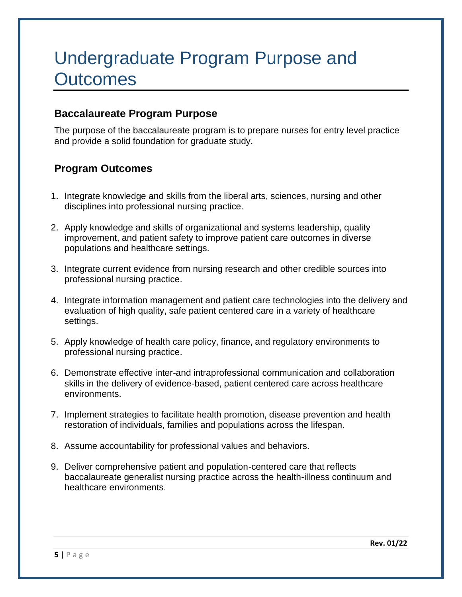### Undergraduate Program Purpose and **Outcomes**

#### **Baccalaureate Program Purpose**

The purpose of the baccalaureate program is to prepare nurses for entry level practice and provide a solid foundation for graduate study.

#### **Program Outcomes**

- 1. Integrate knowledge and skills from the liberal arts, sciences, nursing and other disciplines into professional nursing practice.
- 2. Apply knowledge and skills of organizational and systems leadership, quality improvement, and patient safety to improve patient care outcomes in diverse populations and healthcare settings.
- 3. Integrate current evidence from nursing research and other credible sources into professional nursing practice.
- 4. Integrate information management and patient care technologies into the delivery and evaluation of high quality, safe patient centered care in a variety of healthcare settings.
- 5. Apply knowledge of health care policy, finance, and regulatory environments to professional nursing practice.
- 6. Demonstrate effective inter-and intraprofessional communication and collaboration skills in the delivery of evidence-based, patient centered care across healthcare environments.
- 7. Implement strategies to facilitate health promotion, disease prevention and health restoration of individuals, families and populations across the lifespan.
- 8. Assume accountability for professional values and behaviors.
- 9. Deliver comprehensive patient and population-centered care that reflects baccalaureate generalist nursing practice across the health-illness continuum and healthcare environments.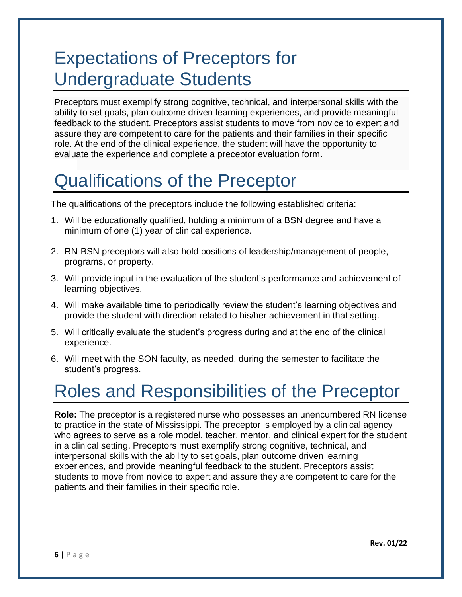### Expectations of Preceptors for Undergraduate Students

Preceptors must exemplify strong cognitive, technical, and interpersonal skills with the ability to set goals, plan outcome driven learning experiences, and provide meaningful feedback to the student. Preceptors assist students to move from novice to expert and assure they are competent to care for the patients and their families in their specific role. At the end of the clinical experience, the student will have the opportunity to evaluate the experience and complete a preceptor evaluation form.

# Qualifications of the Preceptor

The qualifications of the preceptors include the following established criteria:

- 1. Will be educationally qualified, holding a minimum of a BSN degree and have a minimum of one (1) year of clinical experience.
- 2. RN-BSN preceptors will also hold positions of leadership/management of people, programs, or property.
- 3. Will provide input in the evaluation of the student's performance and achievement of learning objectives.
- 4. Will make available time to periodically review the student's learning objectives and provide the student with direction related to his/her achievement in that setting.
- 5. Will critically evaluate the student's progress during and at the end of the clinical experience.
- 6. Will meet with the SON faculty, as needed, during the semester to facilitate the student's progress.

# Roles and Responsibilities of the Preceptor

**Role:** The preceptor is a registered nurse who possesses an unencumbered RN license to practice in the state of Mississippi. The preceptor is employed by a clinical agency who agrees to serve as a role model, teacher, mentor, and clinical expert for the student in a clinical setting. Preceptors must exemplify strong cognitive, technical, and interpersonal skills with the ability to set goals, plan outcome driven learning experiences, and provide meaningful feedback to the student. Preceptors assist students to move from novice to expert and assure they are competent to care for the patients and their families in their specific role.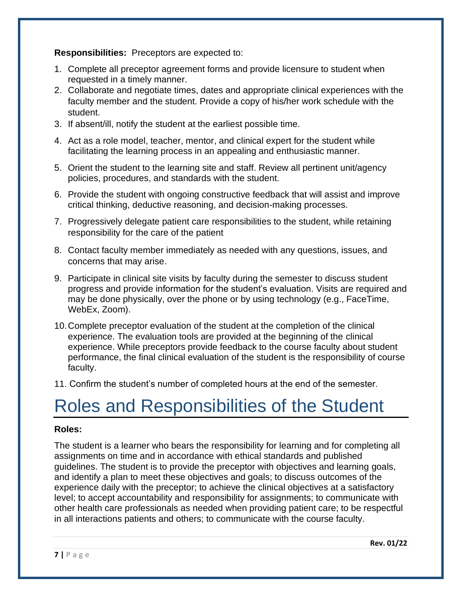**Responsibilities:** Preceptors are expected to:

- 1. Complete all preceptor agreement forms and provide licensure to student when requested in a timely manner.
- 2. Collaborate and negotiate times, dates and appropriate clinical experiences with the faculty member and the student. Provide a copy of his/her work schedule with the student.
- 3. If absent/ill, notify the student at the earliest possible time.
- 4. Act as a role model, teacher, mentor, and clinical expert for the student while facilitating the learning process in an appealing and enthusiastic manner.
- 5. Orient the student to the learning site and staff. Review all pertinent unit/agency policies, procedures, and standards with the student.
- 6. Provide the student with ongoing constructive feedback that will assist and improve critical thinking, deductive reasoning, and decision-making processes.
- 7. Progressively delegate patient care responsibilities to the student, while retaining responsibility for the care of the patient
- 8. Contact faculty member immediately as needed with any questions, issues, and concerns that may arise.
- 9. Participate in clinical site visits by faculty during the semester to discuss student progress and provide information for the student's evaluation. Visits are required and may be done physically, over the phone or by using technology (e.g., FaceTime, WebEx, Zoom).
- 10.Complete preceptor evaluation of the student at the completion of the clinical experience. The evaluation tools are provided at the beginning of the clinical experience. While preceptors provide feedback to the course faculty about student performance, the final clinical evaluation of the student is the responsibility of course faculty.
- 11. Confirm the student's number of completed hours at the end of the semester.

# Roles and Responsibilities of the Student

#### **Roles:**

The student is a learner who bears the responsibility for learning and for completing all assignments on time and in accordance with ethical standards and published guidelines. The student is to provide the preceptor with objectives and learning goals, and identify a plan to meet these objectives and goals; to discuss outcomes of the experience daily with the preceptor; to achieve the clinical objectives at a satisfactory level; to accept accountability and responsibility for assignments; to communicate with other health care professionals as needed when providing patient care; to be respectful in all interactions patients and others; to communicate with the course faculty.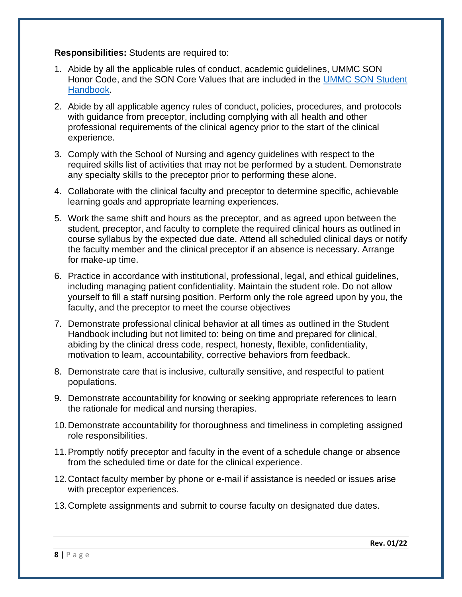**Responsibilities:** Students are required to:

- 1. Abide by all the applicable rules of conduct, academic guidelines, UMMC SON Honor Code, and the SON Core Values that are included in the [UMMC SON Student](https://umc.edu/son/Current%20Students/SON%20Student%20Affairs/Student-Handbook.html)  [Handbook.](https://umc.edu/son/Current%20Students/SON%20Student%20Affairs/Student-Handbook.html)
- 2. Abide by all applicable agency rules of conduct, policies, procedures, and protocols with guidance from preceptor, including complying with all health and other professional requirements of the clinical agency prior to the start of the clinical experience.
- 3. Comply with the School of Nursing and agency guidelines with respect to the required skills list of activities that may not be performed by a student. Demonstrate any specialty skills to the preceptor prior to performing these alone.
- 4. Collaborate with the clinical faculty and preceptor to determine specific, achievable learning goals and appropriate learning experiences.
- 5. Work the same shift and hours as the preceptor, and as agreed upon between the student, preceptor, and faculty to complete the required clinical hours as outlined in course syllabus by the expected due date. Attend all scheduled clinical days or notify the faculty member and the clinical preceptor if an absence is necessary. Arrange for make-up time.
- 6. Practice in accordance with institutional, professional, legal, and ethical guidelines, including managing patient confidentiality. Maintain the student role. Do not allow yourself to fill a staff nursing position. Perform only the role agreed upon by you, the faculty, and the preceptor to meet the course objectives
- 7. Demonstrate professional clinical behavior at all times as outlined in the Student Handbook including but not limited to: being on time and prepared for clinical, abiding by the clinical dress code, respect, honesty, flexible, confidentiality, motivation to learn, accountability, corrective behaviors from feedback.
- 8. Demonstrate care that is inclusive, culturally sensitive, and respectful to patient populations.
- 9. Demonstrate accountability for knowing or seeking appropriate references to learn the rationale for medical and nursing therapies.
- 10.Demonstrate accountability for thoroughness and timeliness in completing assigned role responsibilities.
- 11.Promptly notify preceptor and faculty in the event of a schedule change or absence from the scheduled time or date for the clinical experience.
- 12.Contact faculty member by phone or e-mail if assistance is needed or issues arise with preceptor experiences.
- 13.Complete assignments and submit to course faculty on designated due dates.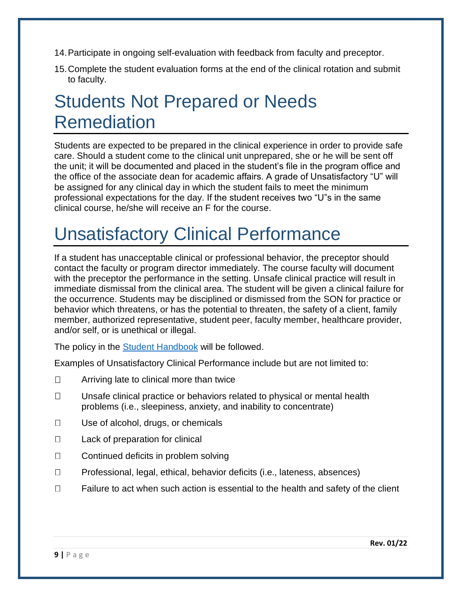- 14.Participate in ongoing self-evaluation with feedback from faculty and preceptor.
- 15.Complete the student evaluation forms at the end of the clinical rotation and submit to faculty.

### Students Not Prepared or Needs Remediation

Students are expected to be prepared in the clinical experience in order to provide safe care. Should a student come to the clinical unit unprepared, she or he will be sent off the unit; it will be documented and placed in the student's file in the program office and the office of the associate dean for academic affairs. A grade of Unsatisfactory "U" will be assigned for any clinical day in which the student fails to meet the minimum professional expectations for the day. If the student receives two "U"s in the same clinical course, he/she will receive an F for the course.

# Unsatisfactory Clinical Performance

If a student has unacceptable clinical or professional behavior, the preceptor should contact the faculty or program director immediately. The course faculty will document with the preceptor the performance in the setting. Unsafe clinical practice will result in immediate dismissal from the clinical area. The student will be given a clinical failure for the occurrence. Students may be disciplined or dismissed from the SON for practice or behavior which threatens, or has the potential to threaten, the safety of a client, family member, authorized representative, student peer, faculty member, healthcare provider, and/or self, or is unethical or illegal.

The policy in the [Student Handbook](https://umc.edu/son/Current%20Students/SON%20Student%20Affairs/Student-Handbook.html) will be followed.

Examples of Unsatisfactory Clinical Performance include but are not limited to:

- Arriving late to clinical more than twice  $\Box$
- $\Box$ Unsafe clinical practice or behaviors related to physical or mental health problems (i.e., sleepiness, anxiety, and inability to concentrate)
- $\Box$ Use of alcohol, drugs, or chemicals
- $\Box$ Lack of preparation for clinical
- $\Box$ Continued deficits in problem solving
- $\Box$ Professional, legal, ethical, behavior deficits (i.e., lateness, absences)
- $\Box$ Failure to act when such action is essential to the health and safety of the client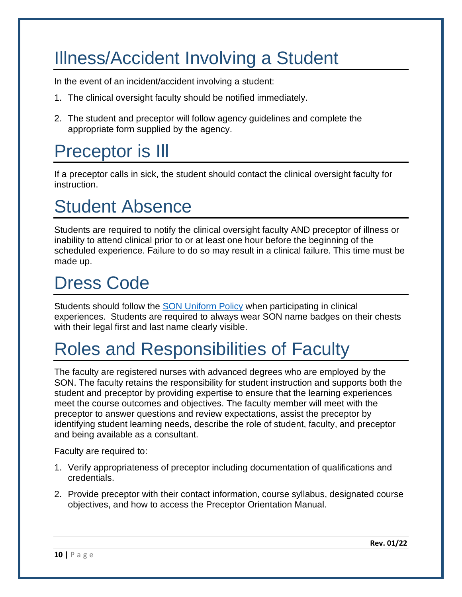# Illness/Accident Involving a Student

In the event of an incident/accident involving a student:

- 1. The clinical oversight faculty should be notified immediately.
- 2. The student and preceptor will follow agency guidelines and complete the appropriate form supplied by the agency.

### Preceptor is Ill

If a preceptor calls in sick, the student should contact the clinical oversight faculty for instruction.

### Student Absence

Students are required to notify the clinical oversight faculty AND preceptor of illness or inability to attend clinical prior to or at least one hour before the beginning of the scheduled experience. Failure to do so may result in a clinical failure. This time must be made up.

### Dress Code

Students should follow the [SON Uniform Policy](https://documents.umc.edu/policy/E-SON-PRG-GEN-PO-00009/) when participating in clinical experiences. Students are required to always wear SON name badges on their chests with their legal first and last name clearly visible.

# Roles and Responsibilities of Faculty

The faculty are registered nurses with advanced degrees who are employed by the SON. The faculty retains the responsibility for student instruction and supports both the student and preceptor by providing expertise to ensure that the learning experiences meet the course outcomes and objectives. The faculty member will meet with the preceptor to answer questions and review expectations, assist the preceptor by identifying student learning needs, describe the role of student, faculty, and preceptor and being available as a consultant.

Faculty are required to:

- 1. Verify appropriateness of preceptor including documentation of qualifications and credentials.
- 2. Provide preceptor with their contact information, course syllabus, designated course objectives, and how to access the Preceptor Orientation Manual.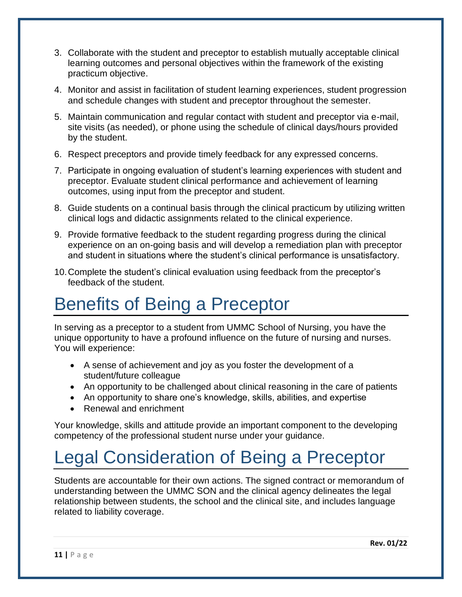- 3. Collaborate with the student and preceptor to establish mutually acceptable clinical learning outcomes and personal objectives within the framework of the existing practicum objective.
- 4. Monitor and assist in facilitation of student learning experiences, student progression and schedule changes with student and preceptor throughout the semester.
- 5. Maintain communication and regular contact with student and preceptor via e-mail, site visits (as needed), or phone using the schedule of clinical days/hours provided by the student.
- 6. Respect preceptors and provide timely feedback for any expressed concerns.
- 7. Participate in ongoing evaluation of student's learning experiences with student and preceptor. Evaluate student clinical performance and achievement of learning outcomes, using input from the preceptor and student.
- 8. Guide students on a continual basis through the clinical practicum by utilizing written clinical logs and didactic assignments related to the clinical experience.
- 9. Provide formative feedback to the student regarding progress during the clinical experience on an on-going basis and will develop a remediation plan with preceptor and student in situations where the student's clinical performance is unsatisfactory.
- 10.Complete the student's clinical evaluation using feedback from the preceptor's feedback of the student.

### Benefits of Being a Preceptor

In serving as a preceptor to a student from UMMC School of Nursing, you have the unique opportunity to have a profound influence on the future of nursing and nurses. You will experience:

- A sense of achievement and joy as you foster the development of a student/future colleague
- An opportunity to be challenged about clinical reasoning in the care of patients
- An opportunity to share one's knowledge, skills, abilities, and expertise
- Renewal and enrichment

Your knowledge, skills and attitude provide an important component to the developing competency of the professional student nurse under your guidance.

# Legal Consideration of Being a Preceptor

Students are accountable for their own actions. The signed contract or memorandum of understanding between the UMMC SON and the clinical agency delineates the legal relationship between students, the school and the clinical site, and includes language related to liability coverage.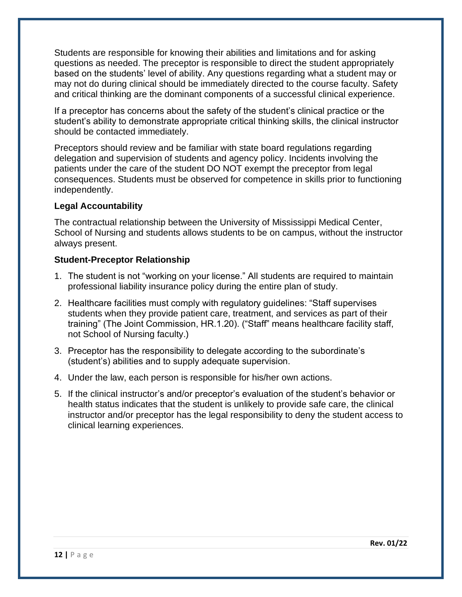Students are responsible for knowing their abilities and limitations and for asking questions as needed. The preceptor is responsible to direct the student appropriately based on the students' level of ability. Any questions regarding what a student may or may not do during clinical should be immediately directed to the course faculty. Safety and critical thinking are the dominant components of a successful clinical experience.

If a preceptor has concerns about the safety of the student's clinical practice or the student's ability to demonstrate appropriate critical thinking skills, the clinical instructor should be contacted immediately.

Preceptors should review and be familiar with state board regulations regarding delegation and supervision of students and agency policy. Incidents involving the patients under the care of the student DO NOT exempt the preceptor from legal consequences. Students must be observed for competence in skills prior to functioning independently.

#### **Legal Accountability**

The contractual relationship between the University of Mississippi Medical Center, School of Nursing and students allows students to be on campus, without the instructor always present.

#### **Student-Preceptor Relationship**

- 1. The student is not "working on your license." All students are required to maintain professional liability insurance policy during the entire plan of study.
- 2. Healthcare facilities must comply with regulatory guidelines: "Staff supervises students when they provide patient care, treatment, and services as part of their training" (The Joint Commission, HR.1.20). ("Staff" means healthcare facility staff, not School of Nursing faculty.)
- 3. Preceptor has the responsibility to delegate according to the subordinate's (student's) abilities and to supply adequate supervision.
- 4. Under the law, each person is responsible for his/her own actions.
- 5. If the clinical instructor's and/or preceptor's evaluation of the student's behavior or health status indicates that the student is unlikely to provide safe care, the clinical instructor and/or preceptor has the legal responsibility to deny the student access to clinical learning experiences.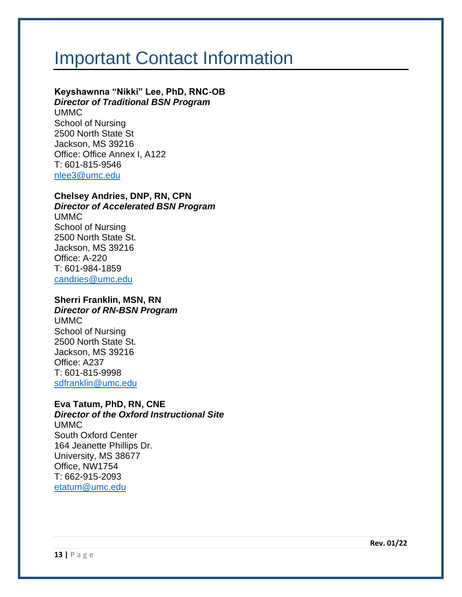### Important Contact Information

### **Keyshawnna "Nikki" Lee, PhD, RNC-OB**

*Director of Traditional BSN Program*

UMMC School of Nursing 2500 North State St Jackson, MS 39216 Office: Office Annex I, A122 T: 601-815-9546 [nlee3@umc.edu](mailto:nlee3@umc.edu)

#### **Chelsey Andries, DNP, RN, CPN**

*Director of Accelerated BSN Program*

UMMC School of Nursing 2500 North State St. Jackson, MS 39216 Office: A-220 T: 601-984-1859 [candries@umc.edu](mailto:candries@umc.edu)

#### **Sherri Franklin, MSN, RN** *Director of RN-BSN Program*

UMMC School of Nursing 2500 North State St. Jackson, MS 39216 Office: A237 T: 601-815-9998 [sdfranklin@umc.edu](mailto:sdfranklin@umc.edu)

#### **Eva Tatum, PhD, RN, CNE**

*Director of the Oxford Instructional Site* UMMC South Oxford Center 164 Jeanette Phillips Dr. University, MS 38677 Office, NW1754 T: 662-915-2093 [etatum@umc.edu](mailto:etatum@umc.edu)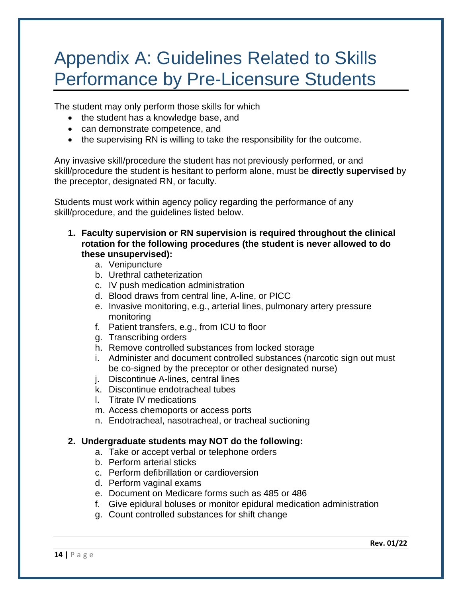### Appendix A: Guidelines Related to Skills Performance by Pre-Licensure Students

The student may only perform those skills for which

- the student has a knowledge base, and
- can demonstrate competence, and
- the supervising RN is willing to take the responsibility for the outcome.

Any invasive skill/procedure the student has not previously performed, or and skill/procedure the student is hesitant to perform alone, must be **directly supervised** by the preceptor, designated RN, or faculty.

Students must work within agency policy regarding the performance of any skill/procedure, and the guidelines listed below.

- **1. Faculty supervision or RN supervision is required throughout the clinical rotation for the following procedures (the student is never allowed to do these unsupervised):**
	- a. Venipuncture
	- b. Urethral catheterization
	- c. IV push medication administration
	- d. Blood draws from central line, A-line, or PICC
	- e. Invasive monitoring, e.g., arterial lines, pulmonary artery pressure monitoring
	- f. Patient transfers, e.g., from ICU to floor
	- g. Transcribing orders
	- h. Remove controlled substances from locked storage
	- i. Administer and document controlled substances (narcotic sign out must be co-signed by the preceptor or other designated nurse)
	- j. Discontinue A-lines, central lines
	- k. Discontinue endotracheal tubes
	- l. Titrate IV medications
	- m. Access chemoports or access ports
	- n. Endotracheal, nasotracheal, or tracheal suctioning

#### **2. Undergraduate students may NOT do the following:**

- a. Take or accept verbal or telephone orders
- b. Perform arterial sticks
- c. Perform defibrillation or cardioversion
- d. Perform vaginal exams
- e. Document on Medicare forms such as 485 or 486
- f. Give epidural boluses or monitor epidural medication administration
- g. Count controlled substances for shift change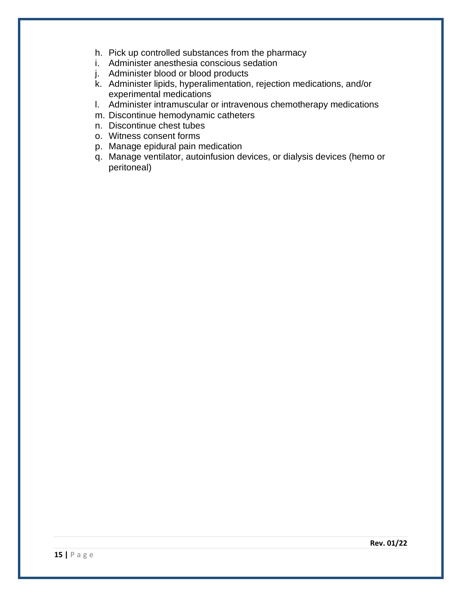- h. Pick up controlled substances from the pharmacy
- i. Administer anesthesia conscious sedation
- j. Administer blood or blood products
- k. Administer lipids, hyperalimentation, rejection medications, and/or experimental medications
- l. Administer intramuscular or intravenous chemotherapy medications
- m. Discontinue hemodynamic catheters
- n. Discontinue chest tubes
- o. Witness consent forms
- p. Manage epidural pain medication
- q. Manage ventilator, autoinfusion devices, or dialysis devices (hemo or peritoneal)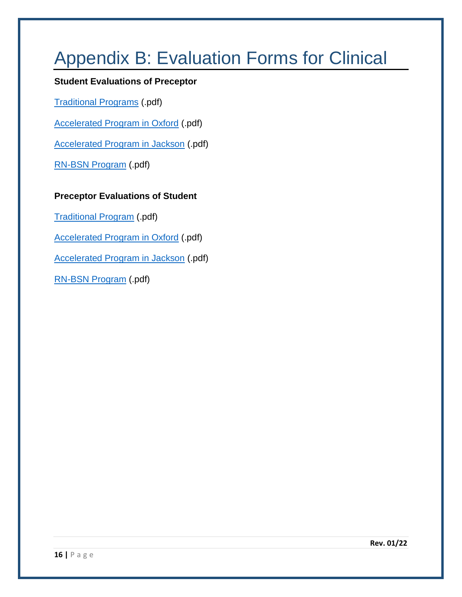# Appendix B: Evaluation Forms for Clinical

#### **Student Evaluations of Preceptor**

[Traditional Programs](https://umc.edu/son/files/Student-Evaluation-of-Preceptor.pdf) (.pdf)

[Accelerated Program in Oxford](https://umc.edu/son/files/Student-Evaluation-of-Preceptor.pdf) (.pdf)

[Accelerated Program in Jackson](https://umc.edu/son/files/Student-Evaluation-of-Preceptor.pdf) (.pdf)

[RN-BSN Program](https://umc.edu/son/files/N461-Student-evaluation-of-Preceptor.pdf) (.pdf)

#### **Preceptor Evaluations of Student**

[Traditional Program](https://umc.edu/son/files/Clinical%20Evaluation%20Tool%20-%202019.pdf) (.pdf)

[Accelerated Program in Oxford](https://umc.edu/son/files/N434-Series-Preceptor-Evaluation-Form.pdf) (.pdf)

[Accelerated Program in Jackson](https://umc.edu/son/files/N434-Series-Preceptor-Evaluation-Form.pdf) (.pdf)

[RN-BSN Program](https://umc.edu/son/files/RN-BSN-Preceptor-Evaluation-of-Student.pdf) (.pdf)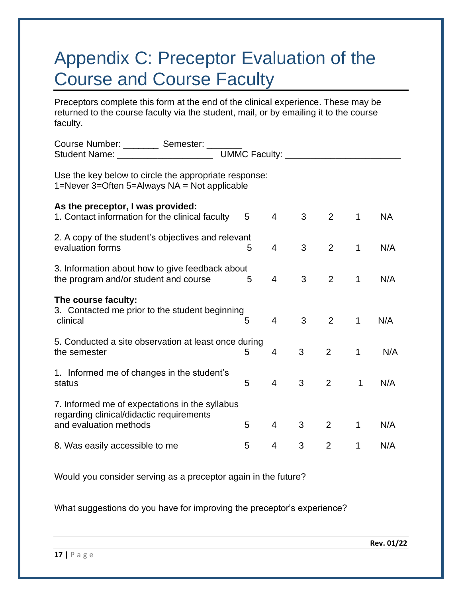### Appendix C: Preceptor Evaluation of the Course and Course Faculty

Preceptors complete this form at the end of the clinical experience. These may be returned to the course faculty via the student, mail, or by emailing it to the course faculty.

| Course Number: _________ Semester: _______                                                                           |                              |                |   |                |              |           |
|----------------------------------------------------------------------------------------------------------------------|------------------------------|----------------|---|----------------|--------------|-----------|
| Student Name: _______________________                                                                                | UMMC Faculty: ______________ |                |   |                |              |           |
| Use the key below to circle the appropriate response:<br>1=Never 3=Often 5=Always NA = Not applicable                |                              |                |   |                |              |           |
| As the preceptor, I was provided:<br>1. Contact information for the clinical faculty                                 | 5                            | $\overline{4}$ | 3 | 2              | $\mathbf 1$  | <b>NA</b> |
| 2. A copy of the student's objectives and relevant<br>evaluation forms                                               | 5                            | $\overline{4}$ | 3 | 2              | $\mathbf{1}$ | N/A       |
| 3. Information about how to give feedback about<br>the program and/or student and course                             | 5                            | $\overline{4}$ | 3 | 2              | $\mathbf 1$  | N/A       |
| The course faculty:<br>3. Contacted me prior to the student beginning<br>clinical                                    | 5                            | $\overline{4}$ | 3 | 2              | 1            | N/A       |
| 5. Conducted a site observation at least once during<br>the semester                                                 | 5                            | $\overline{4}$ | 3 | 2              | $\mathbf 1$  | N/A       |
| 1. Informed me of changes in the student's<br>status                                                                 | 5                            | $\overline{4}$ | 3 | 2              | 1            | N/A       |
| 7. Informed me of expectations in the syllabus<br>regarding clinical/didactic requirements<br>and evaluation methods | 5                            | $\overline{4}$ | 3 | 2              | 1            | N/A       |
| 8. Was easily accessible to me                                                                                       | 5                            | 4              | 3 | $\overline{2}$ | 1            | N/A       |

Would you consider serving as a preceptor again in the future?

What suggestions do you have for improving the preceptor's experience?